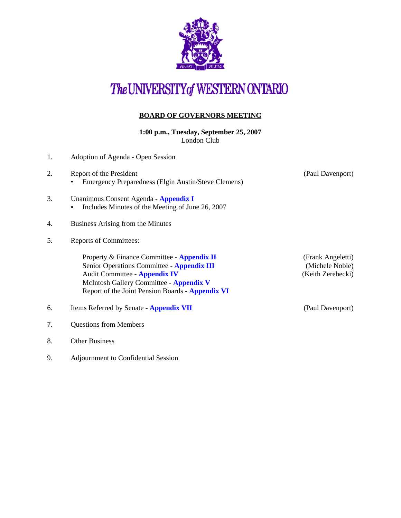

# The UNIVERSITY of WESTERN ONTARIO

## **BOARD OF GOVERNORS MEETING**

**1:00 p.m., Tuesday, September 25, 2007** London Club

- 1. Adoption of Agenda Open Session 2. Report of the President (Paul Davenport) • Emergency Preparedness (Elgin Austin/Steve Clemens) 3. Unanimous Consent Agenda - **[Appendix I](http://www.uwo.ca/univsec/board/minutes/2007/r0709consent.pdf)**  • Includes Minutes of the Meeting of June 26, 2007 4. Business Arising from the Minutes 5. Reports of Committees: Property & Finance Committee - **[Appendix II](http://www.uwo.ca/univsec/board/minutes/2007/r0709pf.pdf)** (Frank Angeletti) Senior Operations Committee - **[Appendix III](http://www.uwo.ca/univsec/board/minutes/2007/r0709srops.pdf)** (Michele Noble) Audit Committee - **[Appendix IV](http://www.uwo.ca/univsec/board/minutes/2007/r0709aud.pdf)** (Keith Zerebecki) McIntosh Gallery Committee - **[Appendix V](http://www.uwo.ca/univsec/board/minutes/2007/r0709mcintosh.pdf)** Report of the Joint Pension Boards - **[Appendix VI](http://www.uwo.ca/univsec/board/minutes/2007/r0709pension.pdf)** 6. Items Referred by Senate - **[Appendix VII](http://www.uwo.ca/univsec/board/minutes/2007/r0709sen.pdf)** (Paul Davenport)
- 7. Questions from Members
- 8. Other Business
- 9. Adjournment to Confidential Session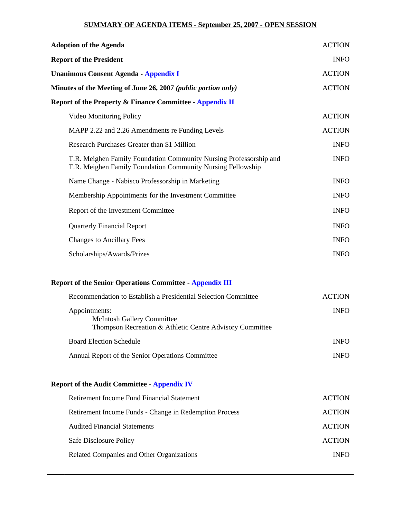#### **SUMMARY OF AGENDA ITEMS - September 25, 2007 - OPEN SESSION**

| <b>Adoption of the Agenda</b>                                                                                                     | <b>ACTION</b> |
|-----------------------------------------------------------------------------------------------------------------------------------|---------------|
| <b>Report of the President</b>                                                                                                    | <b>INFO</b>   |
| <b>Unanimous Consent Agenda - Appendix I</b>                                                                                      | <b>ACTION</b> |
| Minutes of the Meeting of June 26, 2007 ( <i>public portion only</i> )                                                            | <b>ACTION</b> |
| <b>Report of the Property &amp; Finance Committee - Appendix II</b>                                                               |               |
| Video Monitoring Policy                                                                                                           | <b>ACTION</b> |
| MAPP 2.22 and 2.26 Amendments re Funding Levels                                                                                   | <b>ACTION</b> |
| Research Purchases Greater than \$1 Million                                                                                       | <b>INFO</b>   |
| T.R. Meighen Family Foundation Community Nursing Professorship and<br>T.R. Meighen Family Foundation Community Nursing Fellowship | <b>INFO</b>   |
| Name Change - Nabisco Professorship in Marketing                                                                                  | <b>INFO</b>   |
| Membership Appointments for the Investment Committee                                                                              | <b>INFO</b>   |
| Report of the Investment Committee                                                                                                | <b>INFO</b>   |
| <b>Quarterly Financial Report</b>                                                                                                 | <b>INFO</b>   |
| <b>Changes to Ancillary Fees</b>                                                                                                  | <b>INFO</b>   |
| Scholarships/Awards/Prizes                                                                                                        | <b>INFO</b>   |
| <b>Report of the Senior Operations Committee - Appendix III</b>                                                                   |               |
| Recommendation to Establish a Presidential Selection Committee                                                                    | <b>ACTION</b> |
| Appointments:<br><b>McIntosh Gallery Committee</b><br>Thompson Recreation & Athletic Centre Advisory Committee                    | <b>INFO</b>   |
| <b>Board Election Schedule</b>                                                                                                    | <b>INFO</b>   |
| Annual Report of the Senior Operations Committee                                                                                  | <b>INFO</b>   |
| <b>Report of the Audit Committee - Appendix IV</b>                                                                                |               |
| Retirement Income Fund Financial Statement                                                                                        | <b>ACTION</b> |

| Retirement Income Fund Financial Statement             | ACTION        |
|--------------------------------------------------------|---------------|
| Retirement Income Funds - Change in Redemption Process | <b>ACTION</b> |
| <b>Audited Financial Statements</b>                    | <b>ACTION</b> |
| Safe Disclosure Policy                                 | <b>ACTION</b> |
| Related Companies and Other Organizations              | <b>INFO</b>   |